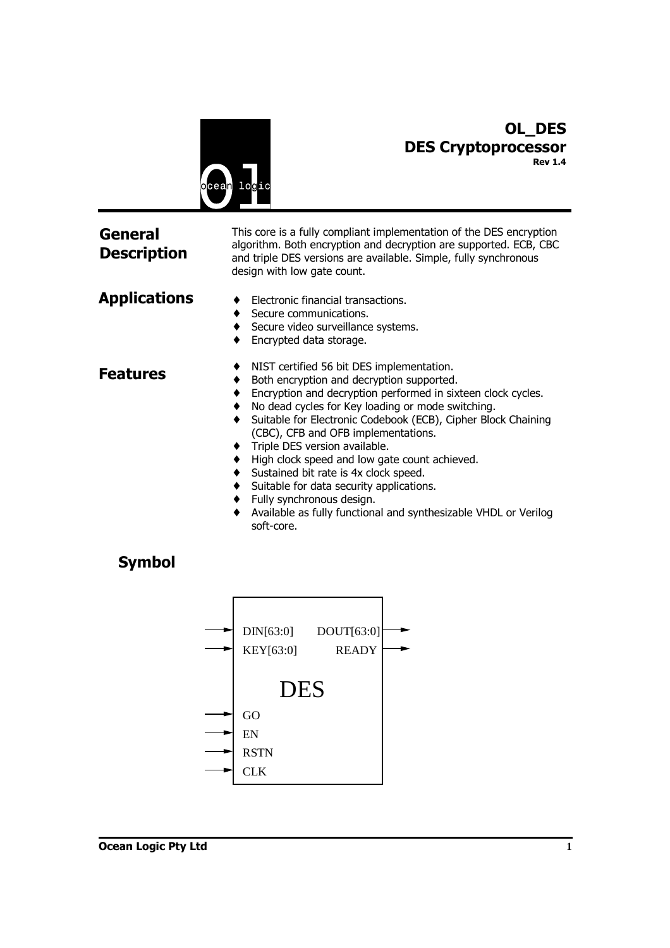

# **OL\_DES DES Cryptoprocessor Rev 1.4**

| General<br><b>Description</b> | This core is a fully compliant implementation of the DES encryption<br>algorithm. Both encryption and decryption are supported. ECB, CBC<br>and triple DES versions are available. Simple, fully synchronous<br>design with low gate count.                                                                                                                                                                                                                                                                                                                                                              |
|-------------------------------|----------------------------------------------------------------------------------------------------------------------------------------------------------------------------------------------------------------------------------------------------------------------------------------------------------------------------------------------------------------------------------------------------------------------------------------------------------------------------------------------------------------------------------------------------------------------------------------------------------|
| Applications                  | Electronic financial transactions.<br>Secure communications.<br>Secure video surveillance systems.<br>Encrypted data storage.                                                                                                                                                                                                                                                                                                                                                                                                                                                                            |
| Features                      | NIST certified 56 bit DES implementation.<br>Both encryption and decryption supported.<br>Encryption and decryption performed in sixteen clock cycles.<br>No dead cycles for Key loading or mode switching.<br>Suitable for Electronic Codebook (ECB), Cipher Block Chaining<br>(CBC), CFB and OFB implementations.<br>Triple DES version available.<br>High clock speed and low gate count achieved.<br>Sustained bit rate is 4x clock speed.<br>Suitable for data security applications.<br>Fully synchronous design.<br>Available as fully functional and synthesizable VHDL or Verilog<br>soft-core. |

# **Symbol**

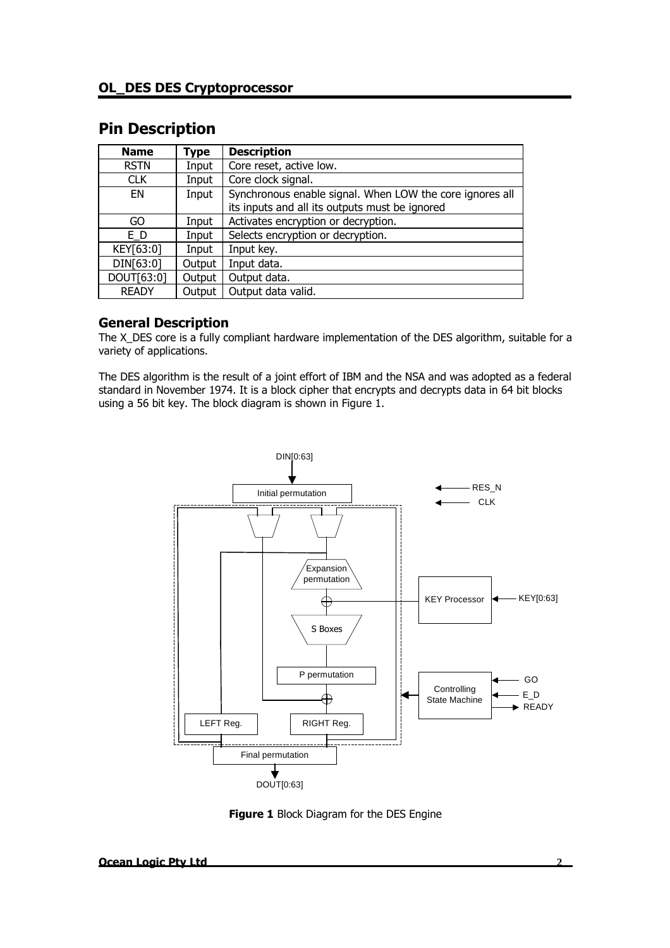# **Pin Description**

| <b>Name</b>  | <b>Type</b> | <b>Description</b>                                       |  |
|--------------|-------------|----------------------------------------------------------|--|
| <b>RSTN</b>  | Input       | Core reset, active low.                                  |  |
| <b>CLK</b>   | Input       | Core clock signal.                                       |  |
| EN           | Input       | Synchronous enable signal. When LOW the core ignores all |  |
|              |             | its inputs and all its outputs must be ignored           |  |
| GO           | Input       | Activates encryption or decryption.                      |  |
| E D          | Input       | Selects encryption or decryption.                        |  |
| KEY[63:0]    | Input       | Input key.                                               |  |
| DIN[63:0]    | Output      | Input data.                                              |  |
| DOUT[63:0]   | Output      | Output data.                                             |  |
| <b>READY</b> | Output      | Output data valid.                                       |  |

# **General Description**

The X DES core is a fully compliant hardware implementation of the DES algorithm, suitable for a variety of applications.

The DES algorithm is the result of a joint effort of IBM and the NSA and was adopted as a federal standard in November 1974. It is a block cipher that encrypts and decrypts data in 64 bit blocks using a 56 bit key. The block diagram is shown in Figure 1.



**Figure 1** Block Diagram for the DES Engine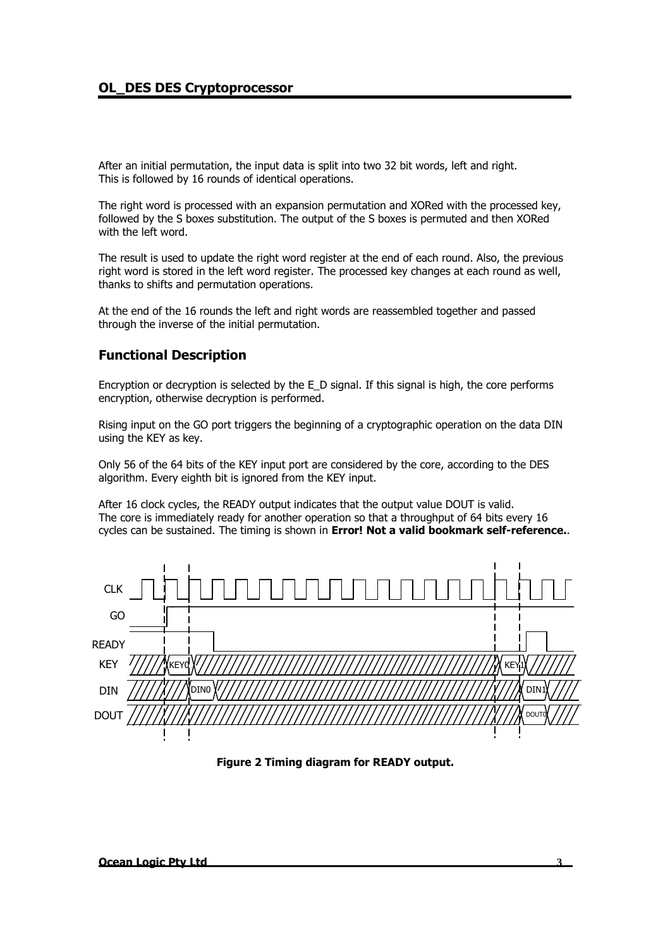## **OL\_DES DES Cryptoprocessor**

After an initial permutation, the input data is split into two 32 bit words, left and right. This is followed by 16 rounds of identical operations.

The right word is processed with an expansion permutation and XORed with the processed key, followed by the S boxes substitution. The output of the S boxes is permuted and then XORed with the left word.

The result is used to update the right word register at the end of each round. Also, the previous right word is stored in the left word register. The processed key changes at each round as well, thanks to shifts and permutation operations.

At the end of the 16 rounds the left and right words are reassembled together and passed through the inverse of the initial permutation.

#### **Functional Description**

Encryption or decryption is selected by the E\_D signal. If this signal is high, the core performs encryption, otherwise decryption is performed.

Rising input on the GO port triggers the beginning of a cryptographic operation on the data DIN using the KEY as key.

Only 56 of the 64 bits of the KEY input port are considered by the core, according to the DES algorithm. Every eighth bit is ignored from the KEY input.

After 16 clock cycles, the READY output indicates that the output value DOUT is valid. The core is immediately ready for another operation so that a throughput of 64 bits every 16 cycles can be sustained. The timing is shown in **Error! Not a valid bookmark self-reference.**.



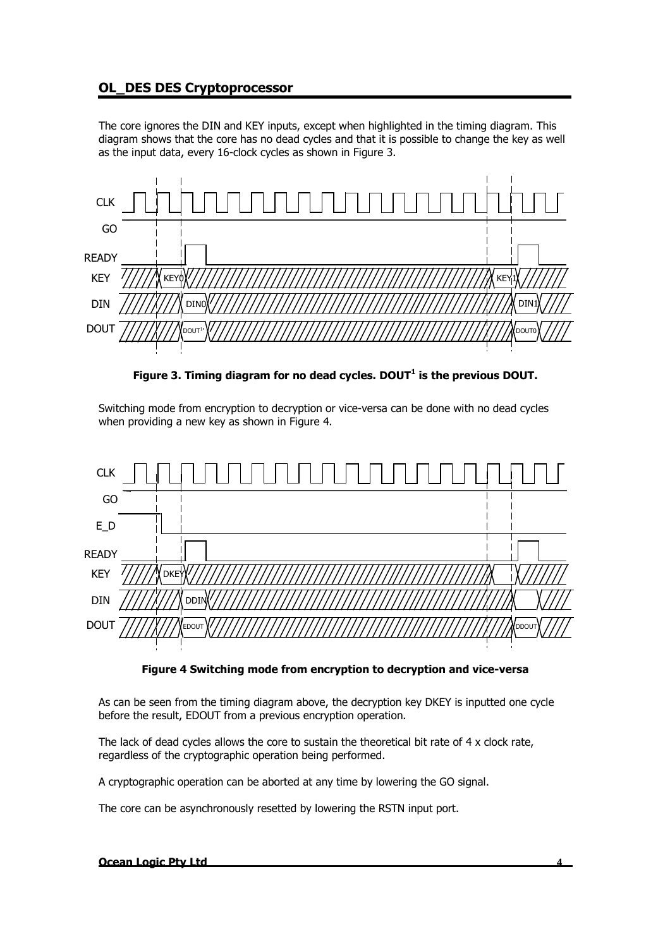# **OL\_DES DES Cryptoprocessor**

The core ignores the DIN and KEY inputs, except when highlighted in the timing diagram. This diagram shows that the core has no dead cycles and that it is possible to change the key as well as the input data, every 16-clock cycles as shown in Figure 3.



**Figure 3. Timing diagram for no dead cycles. DOUT<sup>1</sup> is the previous DOUT.** 

Switching mode from encryption to decryption or vice-versa can be done with no dead cycles when providing a new key as shown in Figure 4.



#### **Figure 4 Switching mode from encryption to decryption and vice-versa**

As can be seen from the timing diagram above, the decryption key DKEY is inputted one cycle before the result, EDOUT from a previous encryption operation.

The lack of dead cycles allows the core to sustain the theoretical bit rate of  $4 \times$  clock rate, regardless of the cryptographic operation being performed.

A cryptographic operation can be aborted at any time by lowering the GO signal.

The core can be asynchronously resetted by lowering the RSTN input port.